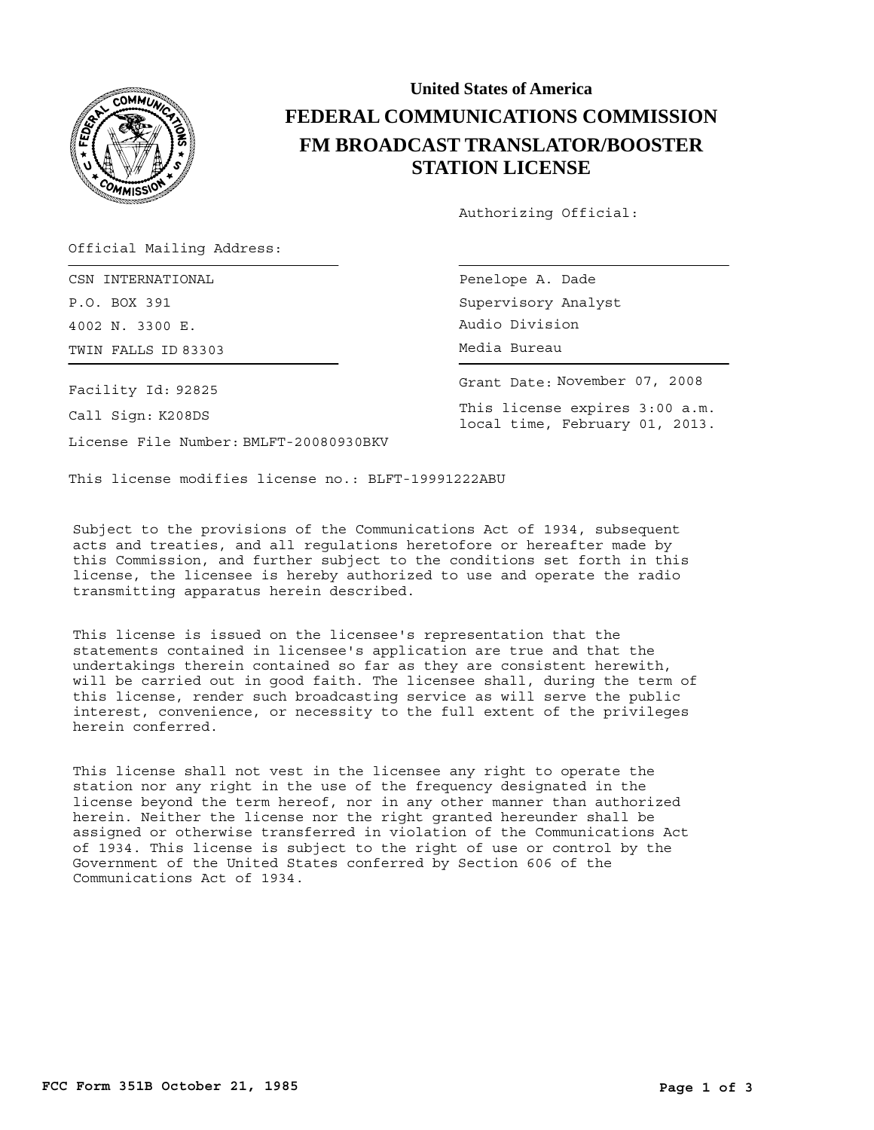

## **United States of America FEDERAL COMMUNICATIONS COMMISSION FM BROADCAST TRANSLATOR/BOOSTER STATION LICENSE**

Authorizing Official:

Official Mailing Address:

TWIN FALLS ID 83303 **Example 20 Server Struck** Media Bureau CSN INTERNATIONAL P.O. BOX 391 4002 N. 3300 E.

Facility Id: 92825

Call Sign: K208DS

License File Number: BMLFT-20080930BKV

Penelope A. Dade Supervisory Analyst Audio Division

Grant Date: November 07, 2008

This license expires 3:00 a.m. local time, February 01, 2013.

This license modifies license no.: BLFT-19991222ABU

Subject to the provisions of the Communications Act of 1934, subsequent acts and treaties, and all regulations heretofore or hereafter made by this Commission, and further subject to the conditions set forth in this license, the licensee is hereby authorized to use and operate the radio transmitting apparatus herein described.

This license is issued on the licensee's representation that the statements contained in licensee's application are true and that the undertakings therein contained so far as they are consistent herewith, will be carried out in good faith. The licensee shall, during the term of this license, render such broadcasting service as will serve the public interest, convenience, or necessity to the full extent of the privileges herein conferred.

This license shall not vest in the licensee any right to operate the station nor any right in the use of the frequency designated in the license beyond the term hereof, nor in any other manner than authorized herein. Neither the license nor the right granted hereunder shall be assigned or otherwise transferred in violation of the Communications Act of 1934. This license is subject to the right of use or control by the Government of the United States conferred by Section 606 of the Communications Act of 1934.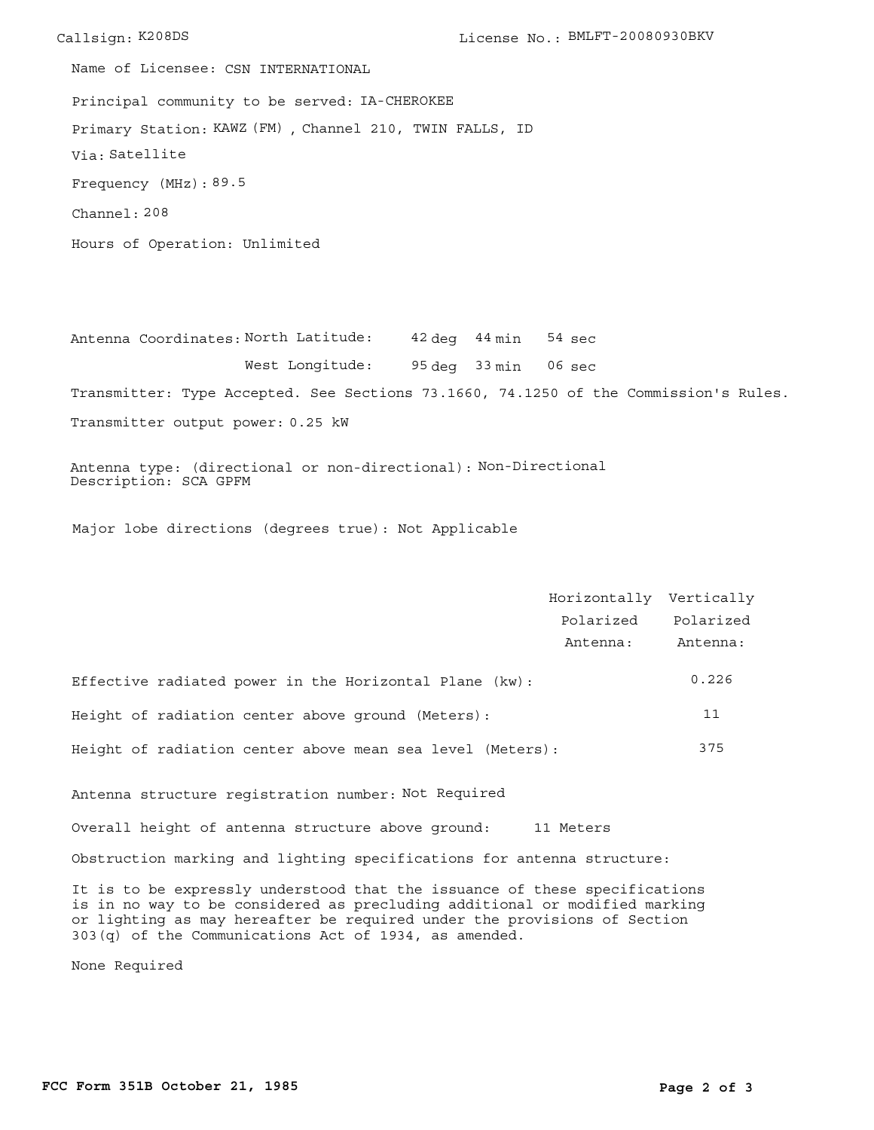Callsign: K208DS License No.: BMLFT-20080930BKV Principal community to be served: IA-CHEROKEE Hours of Operation: Unlimited Frequency (MHz): 89.5 Via: Satellite Primary Station: KAWZ (FM), Channel 210, TWIN FALLS, ID Channel: 208 Name of Licensee: CSN INTERNATIONAL

Antenna Coordinates: North Latitude: 42 deg 44 min 95 deg 33 min West Longitude: Transmitter: Type Accepted. See Sections 73.1660, 74.1250 of the Commission's Rules. Transmitter output power: 0.25 kW 06 sec sec 54

Antenna type: (directional or non-directional): Non-Directional Description: SCA GPFM

Major lobe directions (degrees true): Not Applicable

|                                                                                                                                                                                                                                                                                               | Horizontally Vertically |           |
|-----------------------------------------------------------------------------------------------------------------------------------------------------------------------------------------------------------------------------------------------------------------------------------------------|-------------------------|-----------|
|                                                                                                                                                                                                                                                                                               | Polarized               | Polarized |
|                                                                                                                                                                                                                                                                                               | Antenna:                | Antenna:  |
| Effective radiated power in the Horizontal Plane (kw):                                                                                                                                                                                                                                        |                         | 0.226     |
| Height of radiation center above ground (Meters):                                                                                                                                                                                                                                             |                         | 11        |
| Height of radiation center above mean sea level (Meters):                                                                                                                                                                                                                                     |                         | 375       |
| Antenna structure registration number: Not Required                                                                                                                                                                                                                                           |                         |           |
| Overall height of antenna structure above ground: 11 Meters                                                                                                                                                                                                                                   |                         |           |
| Obstruction marking and lighting specifications for antenna structure:                                                                                                                                                                                                                        |                         |           |
| It is to be expressly understood that the issuance of these specifications<br>is in no way to be considered as precluding additional or modified marking<br>or lighting as may hereafter be required under the provisions of Section<br>303(q) of the Communications Act of 1934, as amended. |                         |           |

None Required